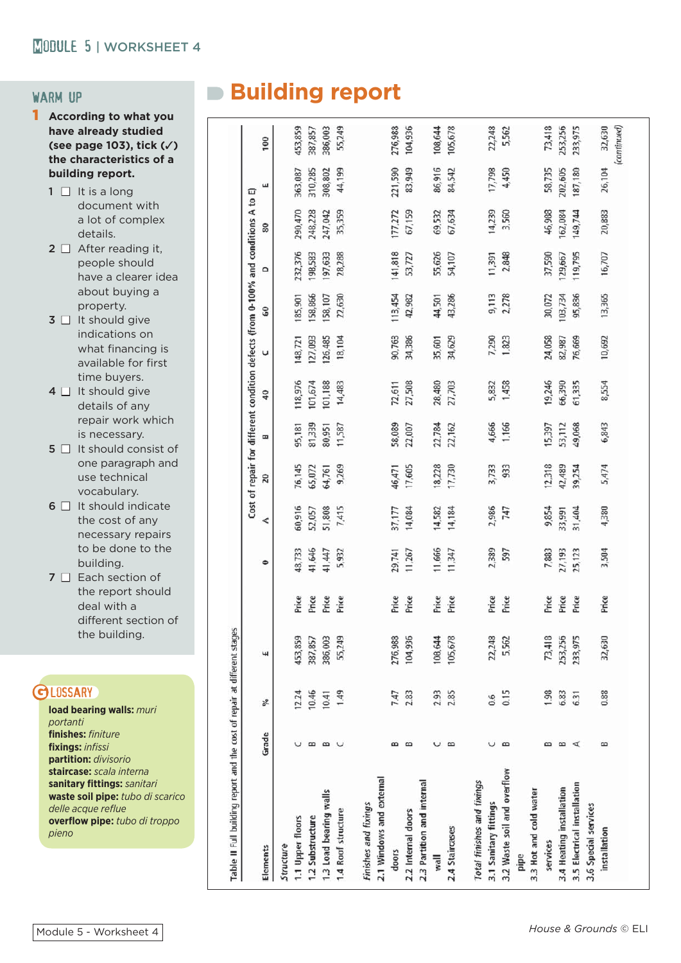- 1 **According to what you have already studied (see page 103), tick (**✓**) the characteristics of a building report.**
	- $1 \Box$  It is a long document with a lot of complex details.
	- $2 \Box$  After reading it, people should have a clearer idea about buying a property.
	- $3 \Box$  It should give indications on what financing is available for first time buyers.
	- $4 \Box$  It should give details of any repair work which is necessary.
	- $5 \Box$  It should consist of one paragraph and use technical vocabulary.
	- $6 \Box$  It should indicate the cost of any necessary repairs to be done to the building.
	- $7 \Box$  Each section of the report should deal with a different section of the building.

#### **GLOSSARY**

**load bearing walls:** *muri portanti*  **finishes:** *finiture* **fi xings:** *infi ssi* **partition:** *divisorio* **staircase:** *scala interna* **sanitary fi ttings:** *sanitari* **waste soil pipe:** *tubo di scarico* delle acque reflue **overfl ow pipe:** *tubo di troppo pieno*

# WARM UP **Building report**

| Table II Full building report and the cost of repair at different stages |           |                  |         |       |           |        |        |        | Cost of repair for different condition defects (from 0-100% and conditions A to E) |         |          |         |         |         |             |
|--------------------------------------------------------------------------|-----------|------------------|---------|-------|-----------|--------|--------|--------|------------------------------------------------------------------------------------|---------|----------|---------|---------|---------|-------------|
| Elements                                                                 | Grade     | b <sub>i</sub> g | ч       |       | $\bullet$ | 4      | 20     | E      | 40                                                                                 | U       | 60       | ۵       | 80      | ш       | 100         |
| Structure                                                                |           |                  |         |       |           |        |        |        |                                                                                    |         |          |         |         |         |             |
| 1.1 Upper floors                                                         |           | 12.24            | 453,859 | Price | 48,733    | 60,916 | 76,145 | 95,181 | 118,976                                                                            | 148,721 | 185,901  | 232,376 | 290,470 | 363,087 | 453,859     |
| 1.2 Substructure                                                         | $\infty$  | 10.46            | 387,857 | Price | 41,646    | 52,057 | 65,072 | 81,339 | 101,674                                                                            | 127,093 | 158,866  | 198,583 | 248,228 | 310,285 | 387,857     |
| 1.3 Load bearing walls                                                   | $\omega$  | 10.41            | 386,003 | Price | 41,447    | 51,808 | 64,761 | 80,951 | 101,188                                                                            | 126,485 | 158, 107 | 197,633 | 247,042 | 308,802 | 386,003     |
| 1.4 Roof structure                                                       |           | 1.49             | 55,249  | Price | 5,932     | 7,415  | 9,269  | 11,587 | 14,483                                                                             | 18,104  | 22,630   | 28,288  | 35,359  | 44,199  | 55,249      |
|                                                                          |           |                  |         |       |           |        |        |        |                                                                                    |         |          |         |         |         |             |
| 2.1 Windows and external<br>Finishes and fixings                         |           |                  |         |       |           |        |        |        |                                                                                    |         |          |         |         |         |             |
| doors                                                                    | $\infty$  | 7.47             | 276,988 | Price | 29,741    | 37,177 | 46,471 | 58,089 | 72,611                                                                             | 90,763  | 113,454  | 141,818 | 177,272 | 221,590 | 276,988     |
| 2.2 Internal doors                                                       | $\omega$  | 2.83             | 104,936 | Price | 11,267    | 14,084 | 17,605 | 22,007 | 27,508                                                                             | 34,386  | 42,982   | 53,727  | 67,159  | 83,949  | 104,936     |
| 2.3 Partition and internal                                               |           |                  |         |       |           |        |        |        |                                                                                    |         |          |         |         |         |             |
| wall                                                                     | U         | 2.93             | 108,644 | Price | 11,666    | 14,582 | 18,228 | 22.784 | 28,480                                                                             | 35,601  | 44,501   | 55,626  | 69,532  | 86,916  | 108,644     |
| 2.4 Staircases                                                           | B         | 2.85             | 105,678 | Price | 11,347    | 14,184 | 17,730 | 22,162 | 27,703                                                                             | 34,629  | 43,286   | 54,107  | 67,634  | 84,542  | 105,678     |
|                                                                          |           |                  |         |       |           |        |        |        |                                                                                    |         |          |         |         |         |             |
| Total finishes and fixings                                               |           |                  |         |       |           |        |        |        |                                                                                    |         |          |         |         |         |             |
| 3.1 Sanitary fittings                                                    |           | 0.6              | 22,248  | Price | 2,389     | 2,986  | 3,733  | 4,666  | 5,832                                                                              | 7,290   | 9,113    | 11,391  | 14,239  | 17,798  | 22,248      |
| 3.2 Waste soil and overflow                                              | $\infty$  | 0.15             | 5,562   | Price | 597       | 747    | 933    | 1,166  | 1,458                                                                              | 1,823   | 2,278    | 2,848   | 3,560   | 4,450   | 5,562       |
| pipe                                                                     |           |                  |         |       |           |        |        |        |                                                                                    |         |          |         |         |         |             |
| 3.3 Hot and cold water                                                   |           |                  |         |       |           |        |        |        |                                                                                    |         |          |         |         |         |             |
| services                                                                 | $\omega$  | 1.98             | 73,418  | Price | 7,883     | 9,854  | 12,318 | 15,397 | 19,246                                                                             | 24,058  | 30,072   | 37,590  | 46,988  | 58,735  | 73,418      |
| 3.4 Heating installation                                                 | $\approx$ | 6.83             | 253,256 | Price | 27,193    | 33,991 | 42,489 | 53,112 | 66,390                                                                             | 82,987  | 103,734  | 129,667 | 162,084 | 202,605 | 253,256     |
| 3.5 Electrical installation                                              | ⋖         | 6.31             | 233,975 | Price | 25,123    | 31,404 | 39,254 | 49,068 | 61,335                                                                             | 76,669  | 95,836   | 119,795 | 149,744 | 187,180 | 233,975     |
| 3.6 Special services                                                     |           |                  |         |       |           |        |        |        |                                                                                    |         |          |         |         |         |             |
| installation                                                             | B         | 0.88             | 32,630  | Price | 3,504     | 4,380  | 5,474  | 6,843  | 8,554                                                                              | 10,692  | 13,365   | 16,707  | 20,883  | 26,104  | 32,630      |
|                                                                          |           |                  |         |       |           |        |        |        |                                                                                    |         |          |         |         |         | (continued) |
|                                                                          |           |                  |         |       |           |        |        |        |                                                                                    |         |          |         |         |         |             |